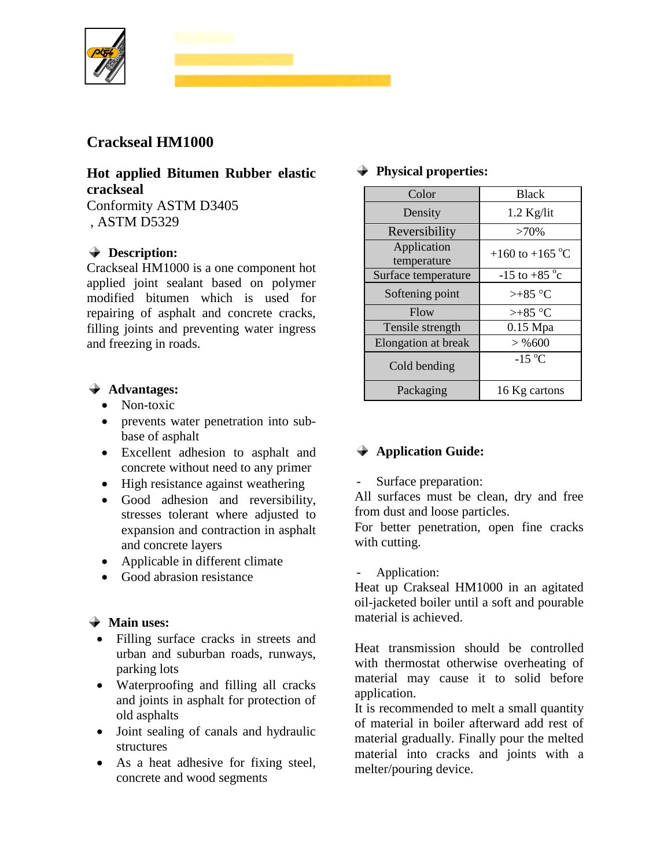

## **Crackseal HM1000**

# **Hot applied Bitumen Rubber elastic crackseal**

Conformity ASTM D3405 , ASTM D5329

### **Description:**

Crackseal HM1000 is a one component hot applied joint sealant based on polymer modified bitumen which is used for repairing of asphalt and concrete cracks, filling joints and preventing water ingress and freezing in roads.

### **Advantages:**

- Non-toxic
- prevents water penetration into subbase of asphalt
- Excellent adhesion to asphalt and concrete without need to any primer
- High resistance against weathering
- Good adhesion and reversibility, stresses tolerant where adjusted to expansion and contraction in asphalt and concrete layers
- Applicable in different climate
- Good abrasion resistance

## **Main uses:**

- Filling surface cracks in streets and urban and suburban roads, runways, parking lots
- Waterproofing and filling all cracks and joints in asphalt for protection of old asphalts
- Joint sealing of canals and hydraulic structures
- As a heat adhesive for fixing steel, concrete and wood segments

#### **Physical properties:**

| Color                      | <b>Black</b>              |
|----------------------------|---------------------------|
| Density                    | $1.2$ Kg/lit              |
| Reversibility              | $>70\%$                   |
| Application<br>temperature | +160 to +165 $^{\circ}$ C |
| Surface temperature        | $-15$ to $+85$ °c         |
| Softening point            | $> +85$ °C                |
| Flow                       | $> +85$ °C                |
| Tensile strength           | $0.15$ Mpa                |
| <b>Elongation</b> at break | $>$ % 600                 |
| Cold bending               | $-15\text{ °C}$           |
| Packaging                  | 16 Kg cartons             |

## **Application Guide:**

Surface preparation:

All surfaces must be clean, dry and free from dust and loose particles.

For better penetration, open fine cracks with cutting.

Application:

Heat up Crakseal HM1000 in an agitated oil-jacketed boiler until a soft and pourable material is achieved.

Heat transmission should be controlled with thermostat otherwise overheating of material may cause it to solid before application.

It is recommended to melt a small quantity of material in boiler afterward add rest of material gradually. Finally pour the melted material into cracks and joints with a melter/pouring device.